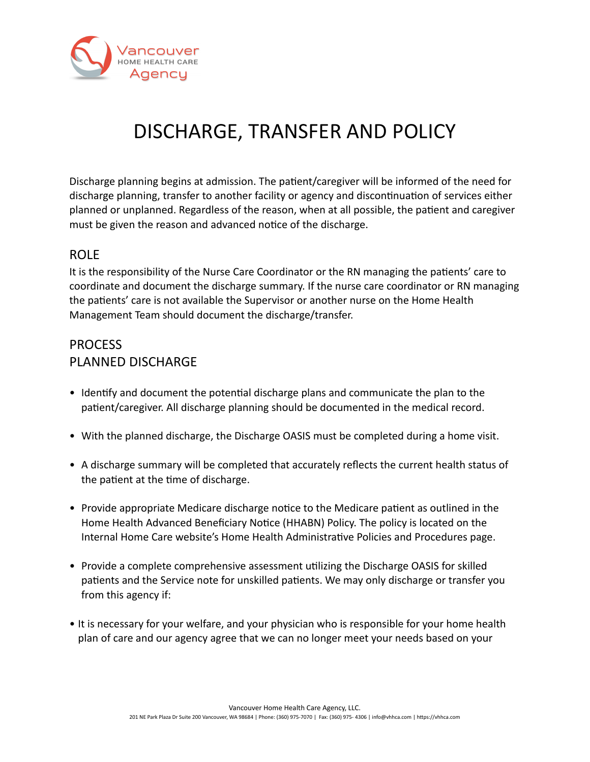

## DISCHARGE, TRANSFER AND POLICY

Discharge planning begins at admission. The patient/caregiver will be informed of the need for discharge planning, transfer to another facility or agency and discontinuation of services either planned or unplanned. Regardless of the reason, when at all possible, the patient and caregiver must be given the reason and advanced notice of the discharge.

## ROLE

It is the responsibility of the Nurse Care Coordinator or the RN managing the patients' care to coordinate and document the discharge summary. If the nurse care coordinator or RN managing the patients' care is not available the Supervisor or another nurse on the Home Health Management Team should document the discharge/transfer.

## PROCESS PLANNED DISCHARGE

- Identify and document the potential discharge plans and communicate the plan to the patient/caregiver. All discharge planning should be documented in the medical record.
- With the planned discharge, the Discharge OASIS must be completed during a home visit.
- A discharge summary will be completed that accurately reflects the current health status of the patient at the time of discharge.
- Provide appropriate Medicare discharge notice to the Medicare patient as outlined in the Home Health Advanced Beneficiary Notice (HHABN) Policy. The policy is located on the Internal Home Care website's Home Health Administrative Policies and Procedures page.
- Provide a complete comprehensive assessment utilizing the Discharge OASIS for skilled patients and the Service note for unskilled patients. We may only discharge or transfer you from this agency if:
- It is necessary for your welfare, and your physician who is responsible for your home health plan of care and our agency agree that we can no longer meet your needs based on your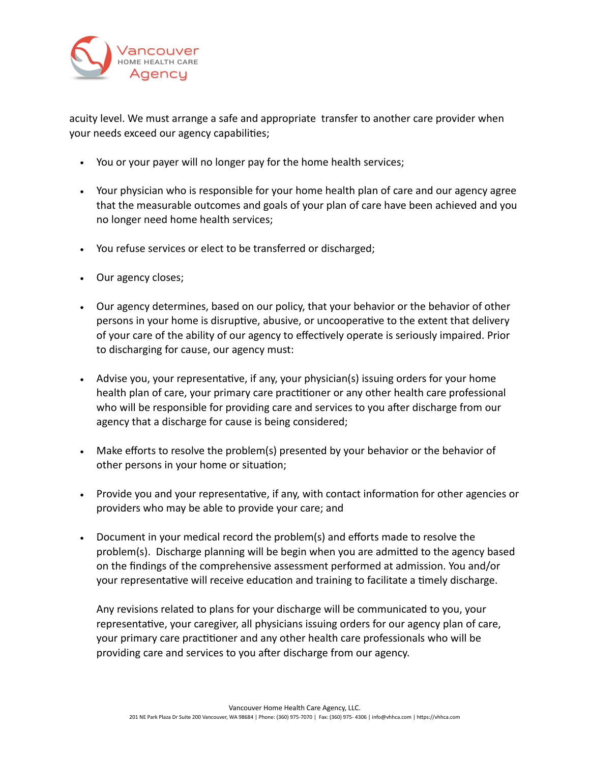

acuity level. We must arrange a safe and appropriate transfer to another care provider when your needs exceed our agency capabilities;

- You or your payer will no longer pay for the home health services;
- Your physician who is responsible for your home health plan of care and our agency agree that the measurable outcomes and goals of your plan of care have been achieved and you no longer need home health services;
- You refuse services or elect to be transferred or discharged;
- Our agency closes;
- Our agency determines, based on our policy, that your behavior or the behavior of other persons in your home is disruptive, abusive, or uncooperative to the extent that delivery of your care of the ability of our agency to effectively operate is seriously impaired. Prior to discharging for cause, our agency must:
- Advise you, your representative, if any, your physician(s) issuing orders for your home health plan of care, your primary care practitioner or any other health care professional who will be responsible for providing care and services to you after discharge from our agency that a discharge for cause is being considered;
- Make efforts to resolve the problem(s) presented by your behavior or the behavior of other persons in your home or situation;
- Provide you and your representative, if any, with contact information for other agencies or providers who may be able to provide your care; and
- Document in your medical record the problem(s) and efforts made to resolve the problem(s). Discharge planning will be begin when you are admitted to the agency based on the findings of the comprehensive assessment performed at admission. You and/or your representative will receive education and training to facilitate a timely discharge.

Any revisions related to plans for your discharge will be communicated to you, your representative, your caregiver, all physicians issuing orders for our agency plan of care, your primary care practitioner and any other health care professionals who will be providing care and services to you after discharge from our agency.